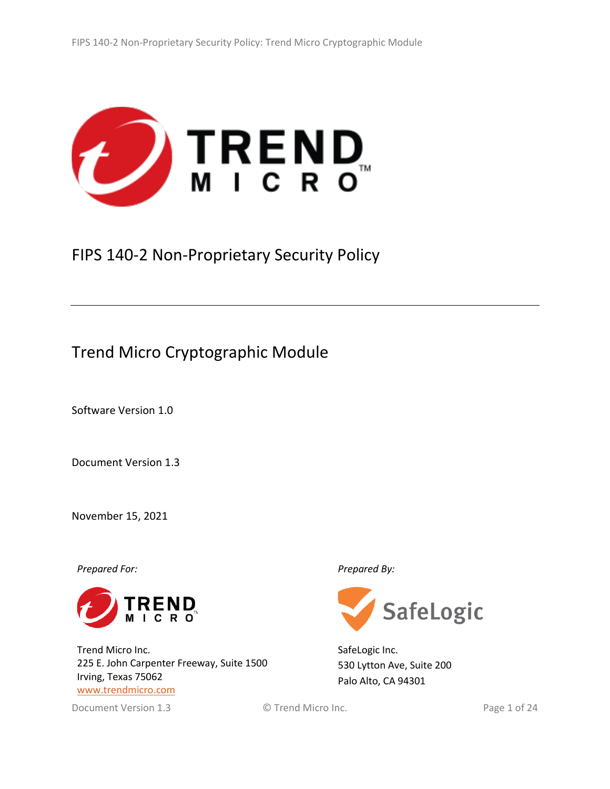

# FIPS 140-2 Non-Proprietary Security Policy

# Trend Micro Cryptographic Module

Software Version 1.0

Document Version 1.3

November 15, 2021

*Prepared For: Prepared By:*



Trend Micro Inc. 225 E. John Carpenter Freeway, Suite 1500 Irving, Texas 75062 [www.trendmicro.com](http://www.trendmicro.com/)

Document Version 1.3 © Trend Micro Inc. Page 1 of 24



SafeLogic Inc. 530 Lytton Ave, Suite 200 Palo Alto, CA 94301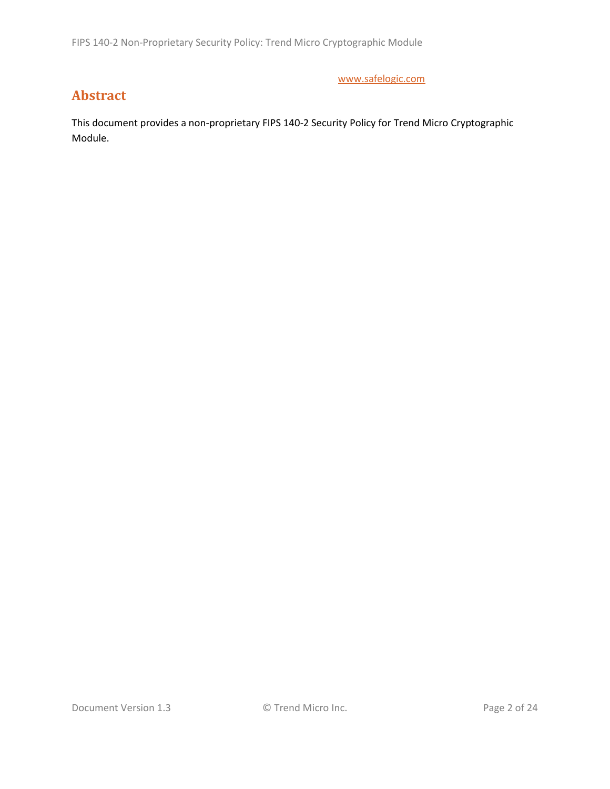FIPS 140-2 Non-Proprietary Security Policy: Trend Micro Cryptographic Module

[www.safelogic.com](http://www.safelogic.com/)

# **Abstract**

This document provides a non-proprietary FIPS 140-2 Security Policy for Trend Micro Cryptographic Module.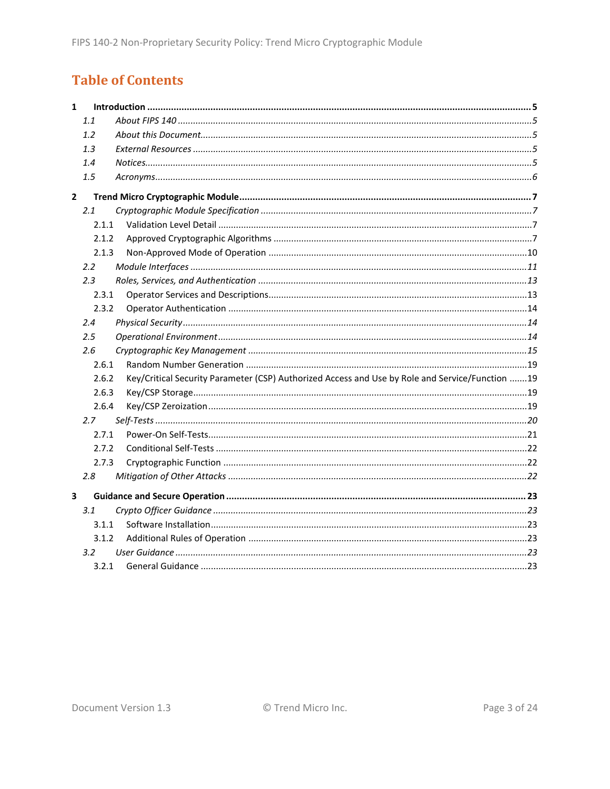# **Table of Contents**

| $\mathbf{1}$ |                  |                                                                                                 |  |
|--------------|------------------|-------------------------------------------------------------------------------------------------|--|
|              | 1.1              |                                                                                                 |  |
|              | 1.2              |                                                                                                 |  |
|              | 1.3              |                                                                                                 |  |
|              | 1.4              |                                                                                                 |  |
|              | 1.5              |                                                                                                 |  |
| $\mathbf{2}$ |                  |                                                                                                 |  |
|              | 2.1              |                                                                                                 |  |
|              | 2.1.1            |                                                                                                 |  |
|              | 2.1.2            |                                                                                                 |  |
|              | 2.1.3            |                                                                                                 |  |
|              | $2.2\phantom{0}$ |                                                                                                 |  |
|              | 2.3              |                                                                                                 |  |
|              | 2.3.1            |                                                                                                 |  |
|              | 2.3.2            |                                                                                                 |  |
|              | 2.4              |                                                                                                 |  |
|              | 2.5              |                                                                                                 |  |
|              | 2.6              |                                                                                                 |  |
|              | 2.6.1            |                                                                                                 |  |
|              | 2.6.2            | Key/Critical Security Parameter (CSP) Authorized Access and Use by Role and Service/Function 19 |  |
|              | 2.6.3            |                                                                                                 |  |
|              | 2.6.4            |                                                                                                 |  |
|              | 2.7              |                                                                                                 |  |
|              | 2.7.1            |                                                                                                 |  |
|              | 2.7.2            |                                                                                                 |  |
|              | 2.7.3            |                                                                                                 |  |
|              | 2.8              |                                                                                                 |  |
| 3            |                  |                                                                                                 |  |
|              | 3.1              |                                                                                                 |  |
|              | 3.1.1            |                                                                                                 |  |
|              | 3.1.2            |                                                                                                 |  |
|              | 3.2 <sub>2</sub> |                                                                                                 |  |
|              | 3.2.1            |                                                                                                 |  |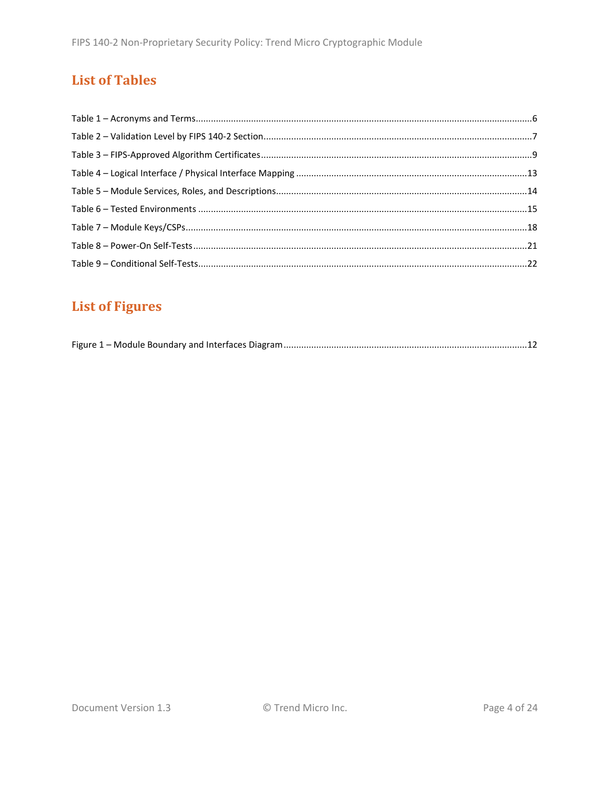# **List of Tables**

# **List of Figures**

|--|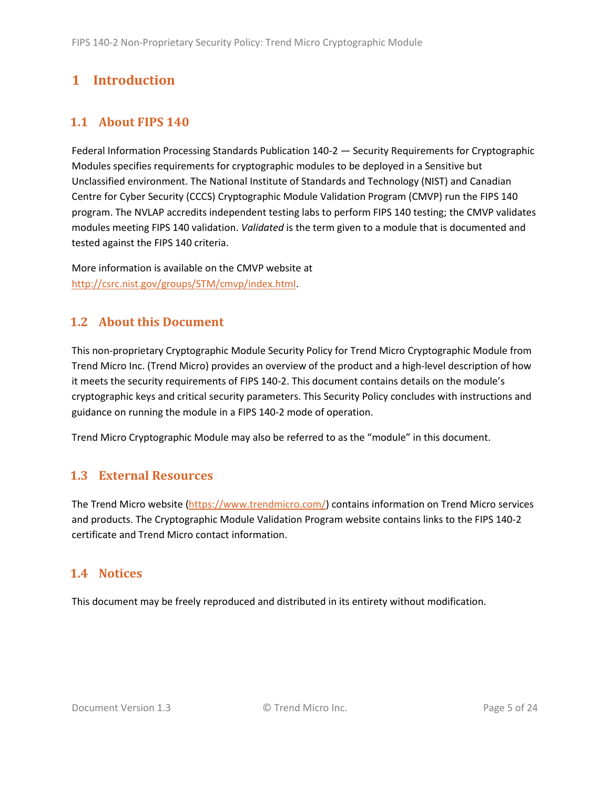# <span id="page-4-0"></span>**1 Introduction**

# <span id="page-4-1"></span>**1.1 About FIPS 140**

Federal Information Processing Standards Publication 140-2 — Security Requirements for Cryptographic Modules specifies requirements for cryptographic modules to be deployed in a Sensitive but Unclassified environment. The National Institute of Standards and Technology (NIST) and Canadian Centre for Cyber Security (CCCS) Cryptographic Module Validation Program (CMVP) run the FIPS 140 program. The NVLAP accredits independent testing labs to perform FIPS 140 testing; the CMVP validates modules meeting FIPS 140 validation. *Validated* is the term given to a module that is documented and tested against the FIPS 140 criteria.

More information is available on the CMVP website at [http://csrc.nist.gov/groups/STM/cmvp/index.html.](http://csrc.nist.gov/groups/STM/cmvp/index.html)

# <span id="page-4-2"></span>**1.2 About this Document**

This non-proprietary Cryptographic Module Security Policy for Trend Micro Cryptographic Module from Trend Micro Inc. (Trend Micro) provides an overview of the product and a high-level description of how it meets the security requirements of FIPS 140-2. This document contains details on the module's cryptographic keys and critical security parameters. This Security Policy concludes with instructions and guidance on running the module in a FIPS 140-2 mode of operation.

Trend Micro Cryptographic Module may also be referred to as the "module" in this document.

# <span id="page-4-3"></span>**1.3 External Resources**

The Trend Micro website [\(https://www.trendmicro.com/\)](https://www.trendmicro.com/) contains information on Trend Micro services and products. The Cryptographic Module Validation Program website contains links to the FIPS 140-2 certificate and Trend Micro contact information.

### <span id="page-4-4"></span>**1.4 Notices**

This document may be freely reproduced and distributed in its entirety without modification.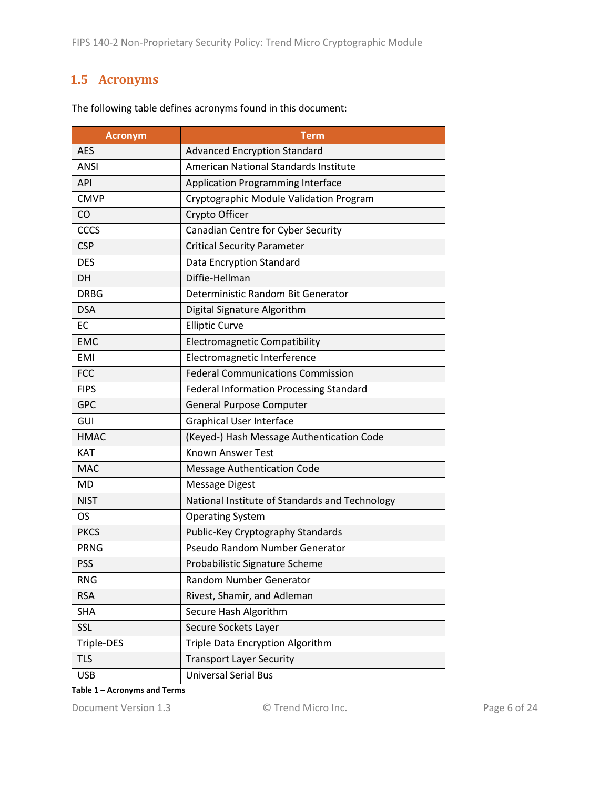### <span id="page-5-0"></span>**1.5 Acronyms**

| <b>Acronym</b> | <b>Term</b>                                    |  |
|----------------|------------------------------------------------|--|
| <b>AES</b>     | <b>Advanced Encryption Standard</b>            |  |
| <b>ANSI</b>    | <b>American National Standards Institute</b>   |  |
| API            | <b>Application Programming Interface</b>       |  |
| <b>CMVP</b>    | Cryptographic Module Validation Program        |  |
| <b>CO</b>      | Crypto Officer                                 |  |
| CCCS           | Canadian Centre for Cyber Security             |  |
| <b>CSP</b>     | <b>Critical Security Parameter</b>             |  |
| <b>DES</b>     | Data Encryption Standard                       |  |
| <b>DH</b>      | Diffie-Hellman                                 |  |
| <b>DRBG</b>    | Deterministic Random Bit Generator             |  |
| <b>DSA</b>     | Digital Signature Algorithm                    |  |
| EC             | <b>Elliptic Curve</b>                          |  |
| <b>EMC</b>     | <b>Electromagnetic Compatibility</b>           |  |
| EMI            | Electromagnetic Interference                   |  |
| <b>FCC</b>     | <b>Federal Communications Commission</b>       |  |
| <b>FIPS</b>    | <b>Federal Information Processing Standard</b> |  |
| <b>GPC</b>     | <b>General Purpose Computer</b>                |  |
| GUI            | <b>Graphical User Interface</b>                |  |
| <b>HMAC</b>    | (Keyed-) Hash Message Authentication Code      |  |
| <b>KAT</b>     | <b>Known Answer Test</b>                       |  |
| <b>MAC</b>     | <b>Message Authentication Code</b>             |  |
| <b>MD</b>      | <b>Message Digest</b>                          |  |
| <b>NIST</b>    | National Institute of Standards and Technology |  |
| OS.            | <b>Operating System</b>                        |  |
| <b>PKCS</b>    | Public-Key Cryptography Standards              |  |
| <b>PRNG</b>    | Pseudo Random Number Generator                 |  |
| <b>PSS</b>     | Probabilistic Signature Scheme                 |  |
| <b>RNG</b>     | Random Number Generator                        |  |
| <b>RSA</b>     | Rivest, Shamir, and Adleman                    |  |
| <b>SHA</b>     | Secure Hash Algorithm                          |  |
| SSL            | Secure Sockets Layer                           |  |
| Triple-DES     | Triple Data Encryption Algorithm               |  |
| <b>TLS</b>     | <b>Transport Layer Security</b>                |  |
| <b>USB</b>     | <b>Universal Serial Bus</b>                    |  |

The following table defines acronyms found in this document:

**Table 1 – Acronyms and Terms**

Document Version 1.3 C Trend Micro Inc. Page 6 of 24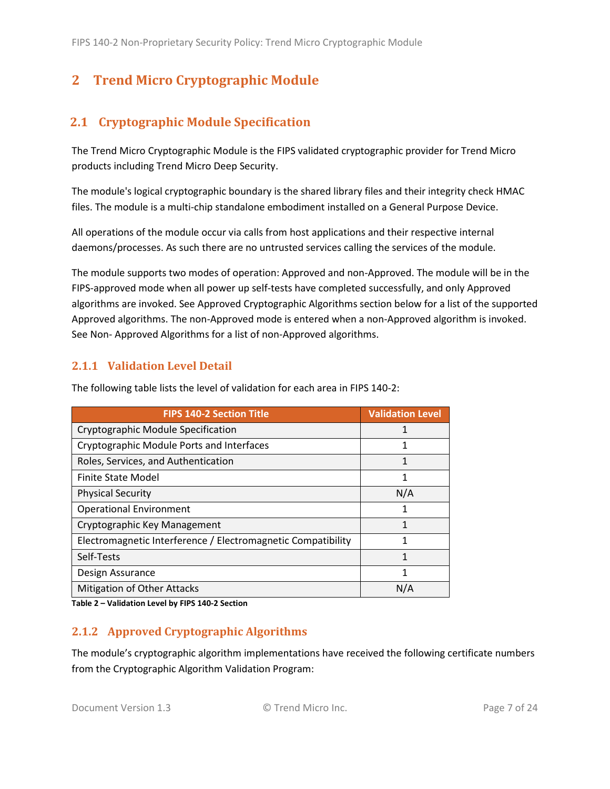# <span id="page-6-0"></span>**2 Trend Micro Cryptographic Module**

# <span id="page-6-1"></span>**2.1 Cryptographic Module Specification**

The Trend Micro Cryptographic Module is the FIPS validated cryptographic provider for Trend Micro products including Trend Micro Deep Security.

The module's logical cryptographic boundary is the shared library files and their integrity check HMAC files. The module is a multi-chip standalone embodiment installed on a General Purpose Device.

All operations of the module occur via calls from host applications and their respective internal daemons/processes. As such there are no untrusted services calling the services of the module.

The module supports two modes of operation: Approved and non-Approved. The module will be in the FIPS-approved mode when all power up self-tests have completed successfully, and only Approved algorithms are invoked. See Approved Cryptographic Algorithms section below for a list of the supported Approved algorithms. The non-Approved mode is entered when a non-Approved algorithm is invoked. See Non- Approved Algorithms for a list of non-Approved algorithms.

#### <span id="page-6-2"></span>**2.1.1 Validation Level Detail**

| <b>FIPS 140-2 Section Title</b>                              | <b>Validation Level</b> |
|--------------------------------------------------------------|-------------------------|
| Cryptographic Module Specification                           |                         |
| Cryptographic Module Ports and Interfaces                    | 1                       |
| Roles, Services, and Authentication                          | 1                       |
| Finite State Model                                           | 1                       |
| <b>Physical Security</b>                                     | N/A                     |
| <b>Operational Environment</b>                               | 1                       |
| Cryptographic Key Management                                 | 1                       |
| Electromagnetic Interference / Electromagnetic Compatibility | 1                       |
| Self-Tests                                                   | 1                       |
| Design Assurance                                             | 1                       |
| <b>Mitigation of Other Attacks</b>                           | N/A                     |

The following table lists the level of validation for each area in FIPS 140-2:

**Table 2 – Validation Level by FIPS 140-2 Section**

#### <span id="page-6-3"></span>**2.1.2 Approved Cryptographic Algorithms**

The module's cryptographic algorithm implementations have received the following certificate numbers from the Cryptographic Algorithm Validation Program: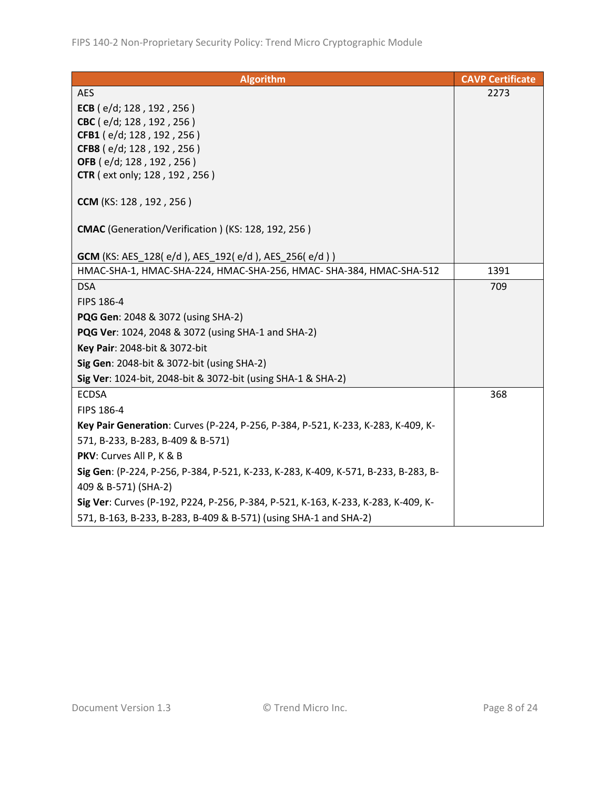| <b>Algorithm</b>                                                                   | <b>CAVP Certificate</b> |
|------------------------------------------------------------------------------------|-------------------------|
| <b>AES</b>                                                                         | 2273                    |
| ECB (e/d; 128, 192, 256)                                                           |                         |
| CBC (e/d; 128, 192, 256)                                                           |                         |
| CFB1 (e/d; 128, 192, 256)                                                          |                         |
| CFB8 (e/d; 128, 192, 256)                                                          |                         |
| OFB (e/d; 128, 192, 256)                                                           |                         |
| <b>CTR</b> (ext only; 128, 192, 256)                                               |                         |
| CCM (KS: 128, 192, 256)                                                            |                         |
| CMAC (Generation/Verification) (KS: 128, 192, 256)                                 |                         |
| <b>GCM</b> (KS: AES_128(e/d), AES_192(e/d), AES_256(e/d))                          |                         |
| HMAC-SHA-1, HMAC-SHA-224, HMAC-SHA-256, HMAC- SHA-384, HMAC-SHA-512                | 1391                    |
| <b>DSA</b>                                                                         | 709                     |
| FIPS 186-4                                                                         |                         |
| PQG Gen: 2048 & 3072 (using SHA-2)                                                 |                         |
| PQG Ver: 1024, 2048 & 3072 (using SHA-1 and SHA-2)                                 |                         |
| Key Pair: 2048-bit & 3072-bit                                                      |                         |
| Sig Gen: 2048-bit & 3072-bit (using SHA-2)                                         |                         |
| Sig Ver: 1024-bit, 2048-bit & 3072-bit (using SHA-1 & SHA-2)                       |                         |
| <b>ECDSA</b>                                                                       | 368                     |
| FIPS 186-4                                                                         |                         |
| Key Pair Generation: Curves (P-224, P-256, P-384, P-521, K-233, K-283, K-409, K-   |                         |
| 571, B-233, B-283, B-409 & B-571)                                                  |                         |
| PKV: Curves All P, K & B                                                           |                         |
| Sig Gen: (P-224, P-256, P-384, P-521, K-233, K-283, K-409, K-571, B-233, B-283, B- |                         |
| 409 & B-571) (SHA-2)                                                               |                         |
| Sig Ver: Curves (P-192, P224, P-256, P-384, P-521, K-163, K-233, K-283, K-409, K-  |                         |
| 571, B-163, B-233, B-283, B-409 & B-571) (using SHA-1 and SHA-2)                   |                         |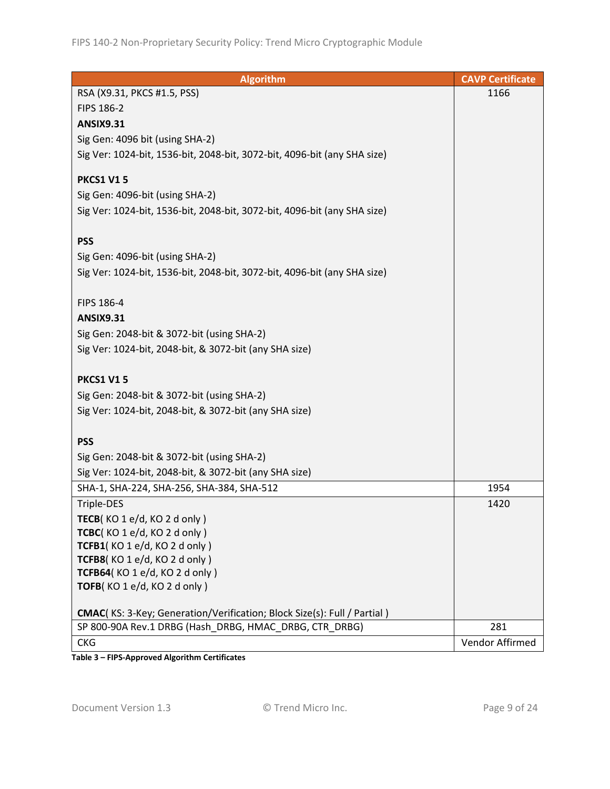| <b>Algorithm</b>                                                                | <b>CAVP Certificate</b> |
|---------------------------------------------------------------------------------|-------------------------|
| RSA (X9.31, PKCS #1.5, PSS)                                                     | 1166                    |
| FIPS 186-2                                                                      |                         |
| <b>ANSIX9.31</b>                                                                |                         |
| Sig Gen: 4096 bit (using SHA-2)                                                 |                         |
| Sig Ver: 1024-bit, 1536-bit, 2048-bit, 3072-bit, 4096-bit (any SHA size)        |                         |
|                                                                                 |                         |
| <b>PKCS1 V15</b>                                                                |                         |
| Sig Gen: 4096-bit (using SHA-2)                                                 |                         |
| Sig Ver: 1024-bit, 1536-bit, 2048-bit, 3072-bit, 4096-bit (any SHA size)        |                         |
| <b>PSS</b>                                                                      |                         |
| Sig Gen: 4096-bit (using SHA-2)                                                 |                         |
| Sig Ver: 1024-bit, 1536-bit, 2048-bit, 3072-bit, 4096-bit (any SHA size)        |                         |
|                                                                                 |                         |
| FIPS 186-4                                                                      |                         |
| <b>ANSIX9.31</b>                                                                |                         |
| Sig Gen: 2048-bit & 3072-bit (using SHA-2)                                      |                         |
| Sig Ver: 1024-bit, 2048-bit, & 3072-bit (any SHA size)                          |                         |
|                                                                                 |                         |
| <b>PKCS1 V15</b>                                                                |                         |
| Sig Gen: 2048-bit & 3072-bit (using SHA-2)                                      |                         |
| Sig Ver: 1024-bit, 2048-bit, & 3072-bit (any SHA size)                          |                         |
|                                                                                 |                         |
| <b>PSS</b>                                                                      |                         |
| Sig Gen: 2048-bit & 3072-bit (using SHA-2)                                      |                         |
| Sig Ver: 1024-bit, 2048-bit, & 3072-bit (any SHA size)                          |                         |
| SHA-1, SHA-224, SHA-256, SHA-384, SHA-512                                       | 1954                    |
| Triple-DES                                                                      | 1420                    |
| TECB(KO 1 e/d, KO 2 d only)                                                     |                         |
| TCBC(KO1e/d, KO2donly)                                                          |                         |
| TCFB1(KO1e/d, KO2donly)                                                         |                         |
| TCFB8(KO 1 e/d, KO 2 d only)<br>TCFB64(KO 1 e/d, KO 2 d only)                   |                         |
| TOFB(KO 1 e/d, KO 2 d only)                                                     |                         |
|                                                                                 |                         |
| <b>CMAC</b> (KS: 3-Key; Generation/Verification; Block Size(s): Full / Partial) |                         |
| SP 800-90A Rev.1 DRBG (Hash DRBG, HMAC DRBG, CTR DRBG)                          | 281                     |
| <b>CKG</b>                                                                      | Vendor Affirmed         |

**Table 3 – FIPS-Approved Algorithm Certificates**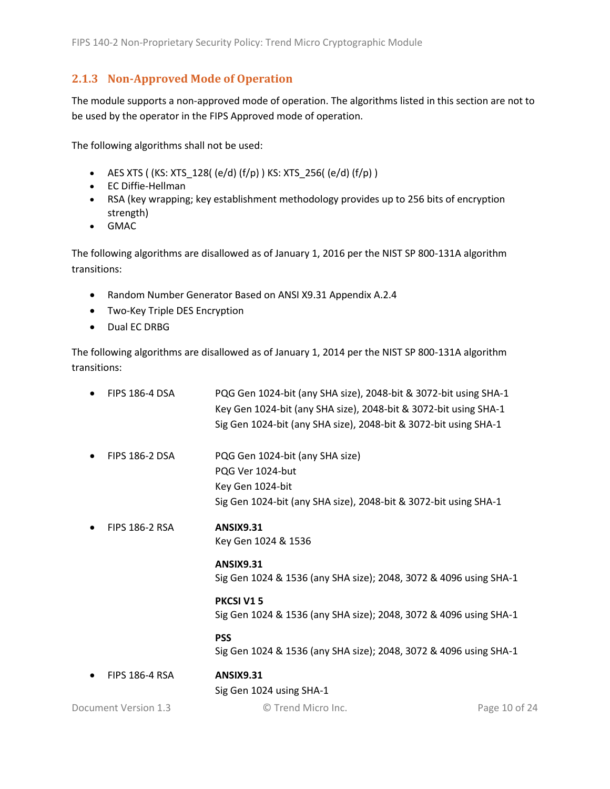#### <span id="page-9-0"></span>**2.1.3 Non-Approved Mode of Operation**

The module supports a non-approved mode of operation. The algorithms listed in this section are not to be used by the operator in the FIPS Approved mode of operation.

The following algorithms shall not be used:

- AES XTS ( (KS: XTS\_128( (e/d) (f/p) ) KS: XTS\_256( (e/d) (f/p) )
- EC Diffie-Hellman
- RSA (key wrapping; key establishment methodology provides up to 256 bits of encryption strength)
- GMAC

The following algorithms are disallowed as of January 1, 2016 per the NIST SP 800-131A algorithm transitions:

- Random Number Generator Based on ANSI X9.31 Appendix A.2.4
- Two-Key Triple DES Encryption
- Dual EC DRBG

The following algorithms are disallowed as of January 1, 2014 per the NIST SP 800-131A algorithm transitions:

| <b>FIPS 186-4 DSA</b> | PQG Gen 1024-bit (any SHA size), 2048-bit & 3072-bit using SHA-1<br>Key Gen 1024-bit (any SHA size), 2048-bit & 3072-bit using SHA-1<br>Sig Gen 1024-bit (any SHA size), 2048-bit & 3072-bit using SHA-1 |               |
|-----------------------|----------------------------------------------------------------------------------------------------------------------------------------------------------------------------------------------------------|---------------|
| <b>FIPS 186-2 DSA</b> | PQG Gen 1024-bit (any SHA size)<br>PQG Ver 1024-but<br>Key Gen 1024-bit<br>Sig Gen 1024-bit (any SHA size), 2048-bit & 3072-bit using SHA-1                                                              |               |
| <b>FIPS 186-2 RSA</b> | <b>ANSIX9.31</b><br>Key Gen 1024 & 1536                                                                                                                                                                  |               |
|                       | <b>ANSIX9.31</b><br>Sig Gen 1024 & 1536 (any SHA size); 2048, 3072 & 4096 using SHA-1                                                                                                                    |               |
|                       | PKCSI V15<br>Sig Gen 1024 & 1536 (any SHA size); 2048, 3072 & 4096 using SHA-1                                                                                                                           |               |
|                       | <b>PSS</b><br>Sig Gen 1024 & 1536 (any SHA size); 2048, 3072 & 4096 using SHA-1                                                                                                                          |               |
| <b>FIPS 186-4 RSA</b> | <b>ANSIX9.31</b><br>Sig Gen 1024 using SHA-1                                                                                                                                                             |               |
| Document Version 1.3  | © Trend Micro Inc.                                                                                                                                                                                       | Page 10 of 24 |
|                       |                                                                                                                                                                                                          |               |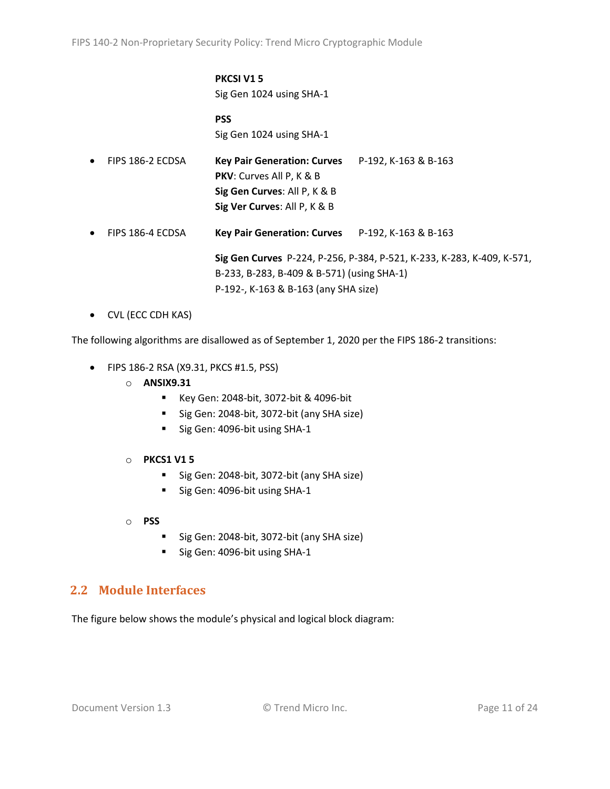#### **PKCSI V1 5** Sig Gen 1024 using SHA-1

**PSS** Sig Gen 1024 using SHA-1

| $\bullet$ | FIPS 186-2 ECDSA | Key Pair Generation: Curves P-192, K-163 & B-163<br><b>PKV:</b> Curves All P, K & B<br>Sig Gen Curves: All P, K & B<br>Sig Ver Curves: All P, K & B          |  |  |
|-----------|------------------|--------------------------------------------------------------------------------------------------------------------------------------------------------------|--|--|
| $\bullet$ | FIPS 186-4 ECDSA | Key Pair Generation: Curves P-192, K-163 & B-163                                                                                                             |  |  |
|           |                  | Sig Gen Curves P-224, P-256, P-384, P-521, K-233, K-283, K-409, K-571,<br>B-233, B-283, B-409 & B-571) (using SHA-1)<br>P-192-, K-163 & B-163 (any SHA size) |  |  |

• CVL (ECC CDH KAS)

The following algorithms are disallowed as of September 1, 2020 per the FIPS 186-2 transitions:

- FIPS 186-2 RSA (X9.31, PKCS #1.5, PSS)
	- o **ANSIX9.31**
		- Key Gen: 2048-bit, 3072-bit & 4096-bit
		- Sig Gen: 2048-bit, 3072-bit (any SHA size)
		- Sig Gen: 4096-bit using SHA-1
	- o **PKCS1 V1 5**
		- Sig Gen: 2048-bit, 3072-bit (any SHA size)
		- Sig Gen: 4096-bit using SHA-1
	- o **PSS**
		- Sig Gen: 2048-bit, 3072-bit (any SHA size)
		- Sig Gen: 4096-bit using SHA-1

### <span id="page-10-0"></span>**2.2 Module Interfaces**

The figure below shows the module's physical and logical block diagram: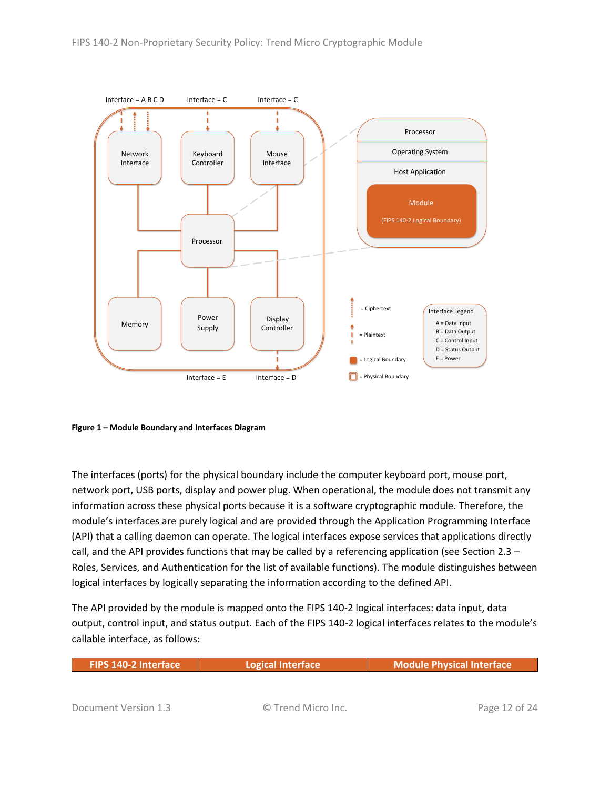

<span id="page-11-0"></span>**Figure 1 – Module Boundary and Interfaces Diagram**

The interfaces (ports) for the physical boundary include the computer keyboard port, mouse port, network port, USB ports, display and power plug. When operational, the module does not transmit any information across these physical ports because it is a software cryptographic module. Therefore, the module's interfaces are purely logical and are provided through the Application Programming Interface (API) that a calling daemon can operate. The logical interfaces expose services that applications directly call, and the API provides functions that may be called by a referencing application (see Sectio[n 2.3](#page-12-0) – [Roles, Services, and Authentication](#page-12-0) for the list of available functions). The module distinguishes between logical interfaces by logically separating the information according to the defined API.

The API provided by the module is mapped onto the FIPS 140-2 logical interfaces: data input, data output, control input, and status output. Each of the FIPS 140-2 logical interfaces relates to the module's callable interface, as follows:

| <b>FIPS 140-2 Interface</b> | Logical Interface  | <b>Module Physical Interface</b> |
|-----------------------------|--------------------|----------------------------------|
|                             |                    |                                  |
| Document Version 1.3        | © Trend Micro Inc. | Page 12 of 24                    |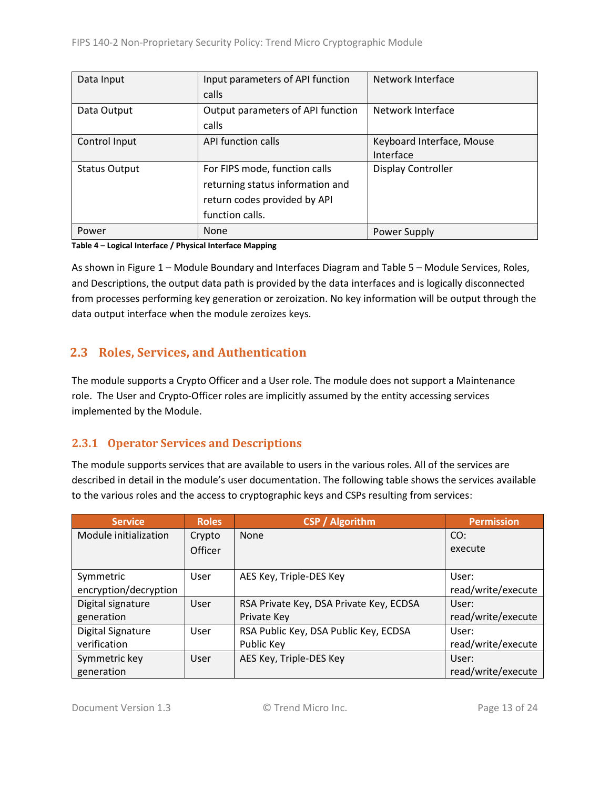| Data Input           | Input parameters of API function  | Network Interface         |
|----------------------|-----------------------------------|---------------------------|
|                      | calls                             |                           |
| Data Output          | Output parameters of API function | Network Interface         |
|                      | calls                             |                           |
| Control Input        | API function calls                | Keyboard Interface, Mouse |
|                      |                                   | Interface                 |
| <b>Status Output</b> | For FIPS mode, function calls     | Display Controller        |
|                      | returning status information and  |                           |
|                      | return codes provided by API      |                           |
|                      | function calls.                   |                           |
| Power                | None                              | Power Supply              |

#### **Table 4 – Logical Interface / Physical Interface Mapping**

As shown in Figure 1 – [Module Boundary and Interfaces Diagram](#page-11-0) and Table 5 – Module [Services, Roles,](#page-13-3) [and Descriptions,](#page-13-3) the output data path is provided by the data interfaces and is logically disconnected from processes performing key generation or zeroization. No key information will be output through the data output interface when the module zeroizes keys.

### <span id="page-12-0"></span>**2.3 Roles, Services, and Authentication**

The module supports a Crypto Officer and a User role. The module does not support a Maintenance role. The User and Crypto-Officer roles are implicitly assumed by the entity accessing services implemented by the Module.

#### <span id="page-12-1"></span>**2.3.1 Operator Services and Descriptions**

The module supports services that are available to users in the various roles. All of the services are described in detail in the module's user documentation. The following table shows the services available to the various roles and the access to cryptographic keys and CSPs resulting from services:

| <b>Service</b>        | <b>Roles</b> | <b>CSP</b> / Algorithm                  | <b>Permission</b>  |
|-----------------------|--------------|-----------------------------------------|--------------------|
| Module initialization | Crypto       | None                                    | CO:                |
|                       | Officer      |                                         | execute            |
|                       |              |                                         |                    |
| Symmetric             | User         | AES Key, Triple-DES Key                 | User:              |
| encryption/decryption |              |                                         | read/write/execute |
| Digital signature     | User         | RSA Private Key, DSA Private Key, ECDSA | User:              |
| generation            |              | Private Key                             | read/write/execute |
| Digital Signature     | User         | RSA Public Key, DSA Public Key, ECDSA   | User:              |
| verification          |              | Public Key                              | read/write/execute |
| Symmetric key         | User         | AES Key, Triple-DES Key                 | User:              |
| generation            |              |                                         | read/write/execute |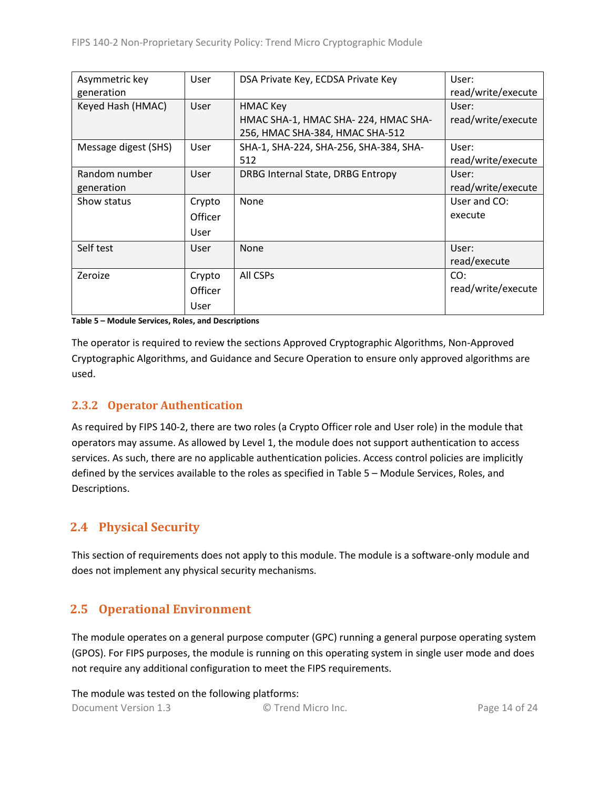| Asymmetric key       | User        | DSA Private Key, ECDSA Private Key     | User:              |
|----------------------|-------------|----------------------------------------|--------------------|
| generation           |             |                                        | read/write/execute |
| Keyed Hash (HMAC)    | User        | <b>HMAC Key</b>                        | User:              |
|                      |             | HMAC SHA-1, HMAC SHA-224, HMAC SHA-    | read/write/execute |
|                      |             | 256, HMAC SHA-384, HMAC SHA-512        |                    |
| Message digest (SHS) | <b>User</b> | SHA-1, SHA-224, SHA-256, SHA-384, SHA- | User:              |
|                      |             | 512                                    | read/write/execute |
| Random number        | User        | DRBG Internal State, DRBG Entropy      | User:              |
| generation           |             |                                        | read/write/execute |
| Show status          | Crypto      | None                                   | User and CO:       |
|                      | Officer     |                                        | execute            |
|                      | User        |                                        |                    |
| Self test            | User        | None                                   | User:              |
|                      |             |                                        | read/execute       |
| Zeroize              | Crypto      | All CSPs                               | CO:                |
|                      | Officer     |                                        | read/write/execute |
|                      | User        |                                        |                    |

<span id="page-13-3"></span>**Table 5 – Module Services, Roles, and Descriptions**

The operator is required to review the sections Approved Cryptographic Algorithms, Non-Approved Cryptographic Algorithms, and Guidance and Secure Operation to ensure only approved algorithms are used.

#### <span id="page-13-0"></span>**2.3.2 Operator Authentication**

As required by FIPS 140-2, there are two roles (a Crypto Officer role and User role) in the module that operators may assume. As allowed by Level 1, the module does not support authentication to access services. As such, there are no applicable authentication policies. Access control policies are implicitly defined by the services available to the roles as specified in Table 5 – Module [Services, Roles,](#page-13-3) and [Descriptions.](#page-13-3)

### <span id="page-13-1"></span>**2.4 Physical Security**

This section of requirements does not apply to this module. The module is a software-only module and does not implement any physical security mechanisms.

# <span id="page-13-2"></span>**2.5 Operational Environment**

The module operates on a general purpose computer (GPC) running a general purpose operating system (GPOS). For FIPS purposes, the module is running on this operating system in single user mode and does not require any additional configuration to meet the FIPS requirements.

Document Version 1.3 © Trend Micro Inc. Page 14 of 24 The module was tested on the following platforms: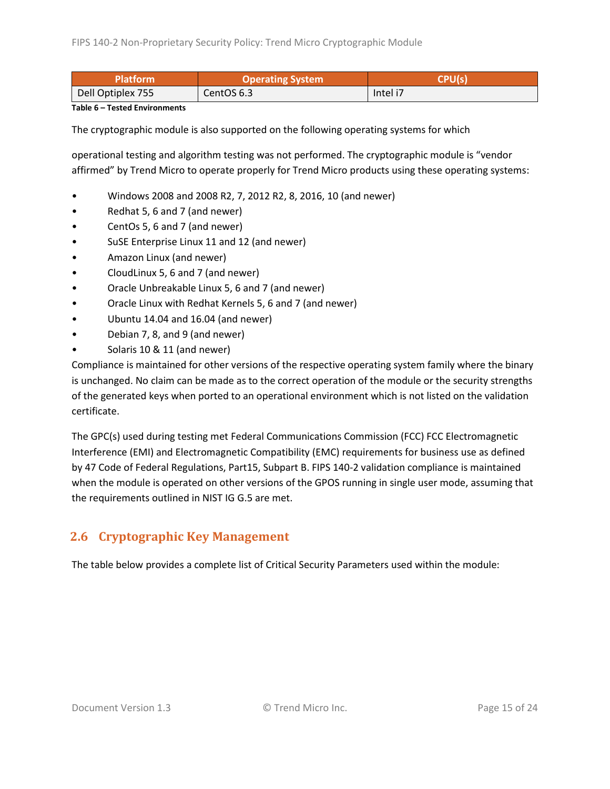| Platform'         | <b>Operating System</b> | <b>CPU(s</b> |  |
|-------------------|-------------------------|--------------|--|
| Dell Optiplex 755 | CentOS 6.3              | Intel i7     |  |

**Table 6 – Tested Environments**

The cryptographic module is also supported on the following operating systems for which

operational testing and algorithm testing was not performed. The cryptographic module is "vendor affirmed" by Trend Micro to operate properly for Trend Micro products using these operating systems:

- Windows 2008 and 2008 R2, 7, 2012 R2, 8, 2016, 10 (and newer)
- Redhat 5, 6 and 7 (and newer)
- CentOs 5, 6 and 7 (and newer)
- SuSE Enterprise Linux 11 and 12 (and newer)
- Amazon Linux (and newer)
- CloudLinux 5, 6 and 7 (and newer)
- Oracle Unbreakable Linux 5, 6 and 7 (and newer)
- Oracle Linux with Redhat Kernels 5, 6 and 7 (and newer)
- Ubuntu 14.04 and 16.04 (and newer)
- Debian 7, 8, and 9 (and newer)
- Solaris 10 & 11 (and newer)

Compliance is maintained for other versions of the respective operating system family where the binary is unchanged. No claim can be made as to the correct operation of the module or the security strengths of the generated keys when ported to an operational environment which is not listed on the validation certificate.

The GPC(s) used during testing met Federal Communications Commission (FCC) FCC Electromagnetic Interference (EMI) and Electromagnetic Compatibility (EMC) requirements for business use as defined by 47 Code of Federal Regulations, Part15, Subpart B. FIPS 140-2 validation compliance is maintained when the module is operated on other versions of the GPOS running in single user mode, assuming that the requirements outlined in NIST IG G.5 are met.

# <span id="page-14-0"></span>**2.6 Cryptographic Key Management**

The table below provides a complete list of Critical Security Parameters used within the module: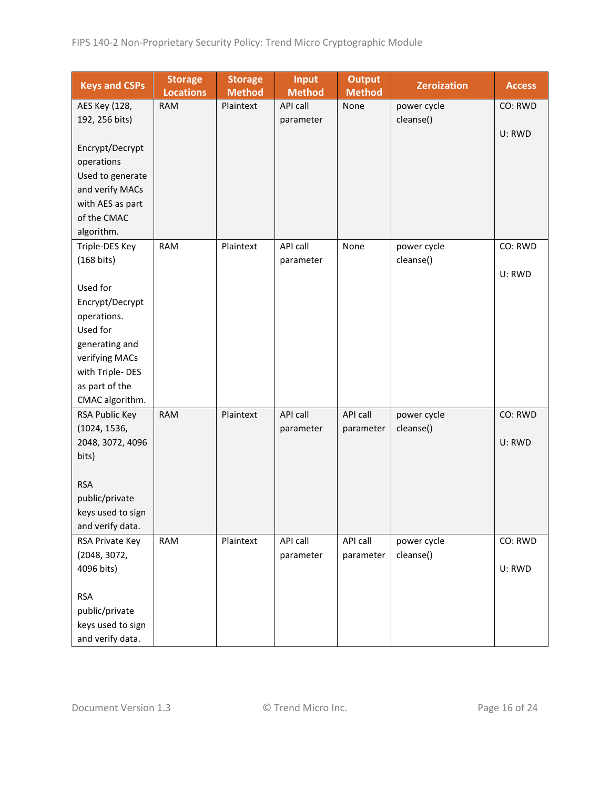| <b>Keys and CSPs</b>                | <b>Storage</b><br><b>Locations</b> | <b>Storage</b><br><b>Method</b> | <b>Input</b><br><b>Method</b> | <b>Output</b><br><b>Method</b> | <b>Zeroization</b>       | <b>Access</b> |
|-------------------------------------|------------------------------------|---------------------------------|-------------------------------|--------------------------------|--------------------------|---------------|
| AES Key (128,                       | <b>RAM</b>                         | Plaintext                       | API call                      | None                           | power cycle              | CO: RWD       |
| 192, 256 bits)                      |                                    |                                 | parameter                     |                                | cleanse()                |               |
|                                     |                                    |                                 |                               |                                |                          | U: RWD        |
| Encrypt/Decrypt                     |                                    |                                 |                               |                                |                          |               |
| operations                          |                                    |                                 |                               |                                |                          |               |
| Used to generate                    |                                    |                                 |                               |                                |                          |               |
| and verify MACs                     |                                    |                                 |                               |                                |                          |               |
| with AES as part                    |                                    |                                 |                               |                                |                          |               |
| of the CMAC                         |                                    |                                 |                               |                                |                          |               |
| algorithm.                          |                                    |                                 |                               |                                |                          |               |
| Triple-DES Key                      | <b>RAM</b>                         | Plaintext                       | API call                      | None                           | power cycle              | CO: RWD       |
| (168 bits)                          |                                    |                                 | parameter                     |                                | cleanse()                |               |
|                                     |                                    |                                 |                               |                                |                          | U: RWD        |
| Used for                            |                                    |                                 |                               |                                |                          |               |
| Encrypt/Decrypt                     |                                    |                                 |                               |                                |                          |               |
| operations.                         |                                    |                                 |                               |                                |                          |               |
| Used for                            |                                    |                                 |                               |                                |                          |               |
| generating and                      |                                    |                                 |                               |                                |                          |               |
| verifying MACs                      |                                    |                                 |                               |                                |                          |               |
| with Triple-DES                     |                                    |                                 |                               |                                |                          |               |
| as part of the                      |                                    |                                 |                               |                                |                          |               |
| CMAC algorithm.                     |                                    |                                 |                               |                                |                          |               |
| RSA Public Key                      | <b>RAM</b>                         | Plaintext                       | <b>API call</b>               | API call                       | power cycle              | CO: RWD       |
| (1024, 1536,                        |                                    |                                 | parameter                     | parameter                      | cleanse()                |               |
| 2048, 3072, 4096                    |                                    |                                 |                               |                                |                          | U: RWD        |
| bits)                               |                                    |                                 |                               |                                |                          |               |
| <b>RSA</b>                          |                                    |                                 |                               |                                |                          |               |
|                                     |                                    |                                 |                               |                                |                          |               |
| public/private<br>keys used to sign |                                    |                                 |                               |                                |                          |               |
|                                     |                                    |                                 |                               |                                |                          |               |
| and verify data.                    | <b>RAM</b>                         | Plaintext                       | API call                      | API call                       |                          | CO: RWD       |
| RSA Private Key<br>(2048, 3072,     |                                    |                                 | parameter                     | parameter                      | power cycle<br>cleanse() |               |
| 4096 bits)                          |                                    |                                 |                               |                                |                          | U: RWD        |
|                                     |                                    |                                 |                               |                                |                          |               |
| <b>RSA</b>                          |                                    |                                 |                               |                                |                          |               |
| public/private                      |                                    |                                 |                               |                                |                          |               |
| keys used to sign                   |                                    |                                 |                               |                                |                          |               |
| and verify data.                    |                                    |                                 |                               |                                |                          |               |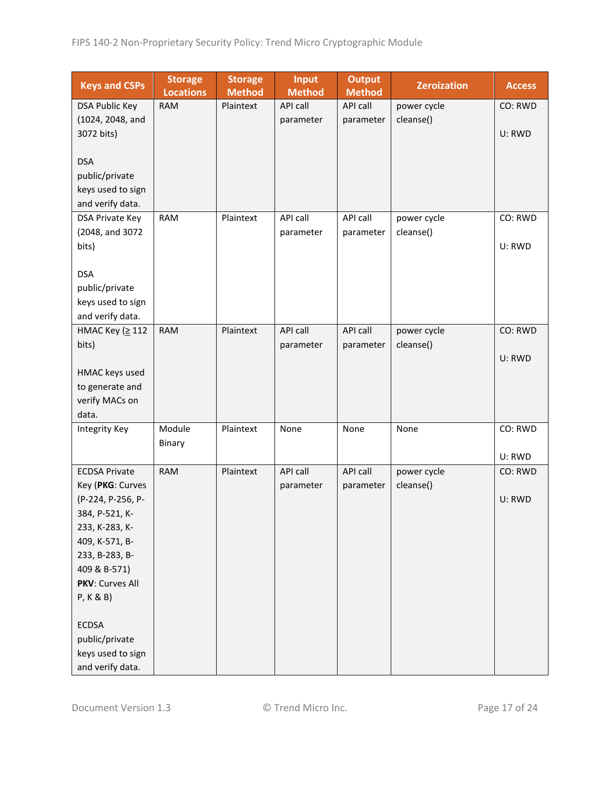| <b>Keys and CSPs</b>  | <b>Storage</b><br><b>Locations</b> | <b>Storage</b><br><b>Method</b> | <b>Input</b><br><b>Method</b> | <b>Output</b><br><b>Method</b> | <b>Zeroization</b> | <b>Access</b> |
|-----------------------|------------------------------------|---------------------------------|-------------------------------|--------------------------------|--------------------|---------------|
| <b>DSA Public Key</b> | <b>RAM</b>                         | Plaintext                       | API call                      | API call                       | power cycle        | CO: RWD       |
| (1024, 2048, and      |                                    |                                 | parameter                     | parameter                      | cleanse()          |               |
| 3072 bits)            |                                    |                                 |                               |                                |                    | U: RWD        |
|                       |                                    |                                 |                               |                                |                    |               |
| <b>DSA</b>            |                                    |                                 |                               |                                |                    |               |
| public/private        |                                    |                                 |                               |                                |                    |               |
| keys used to sign     |                                    |                                 |                               |                                |                    |               |
| and verify data.      |                                    |                                 |                               |                                |                    |               |
| DSA Private Key       | <b>RAM</b>                         | Plaintext                       | API call                      | API call                       | power cycle        | CO: RWD       |
| (2048, and 3072       |                                    |                                 | parameter                     | parameter                      | cleanse()          |               |
| bits)                 |                                    |                                 |                               |                                |                    | U: RWD        |
|                       |                                    |                                 |                               |                                |                    |               |
| <b>DSA</b>            |                                    |                                 |                               |                                |                    |               |
| public/private        |                                    |                                 |                               |                                |                    |               |
| keys used to sign     |                                    |                                 |                               |                                |                    |               |
| and verify data.      |                                    |                                 |                               |                                |                    |               |
| НМАС Кеу (≥112        | <b>RAM</b>                         | Plaintext                       | <b>API call</b>               | API call                       | power cycle        | CO: RWD       |
| bits)                 |                                    |                                 | parameter                     | parameter                      | cleanse()          |               |
|                       |                                    |                                 |                               |                                |                    | U: RWD        |
| HMAC keys used        |                                    |                                 |                               |                                |                    |               |
| to generate and       |                                    |                                 |                               |                                |                    |               |
| verify MACs on        |                                    |                                 |                               |                                |                    |               |
| data.                 |                                    |                                 |                               |                                |                    |               |
| Integrity Key         | Module                             | Plaintext                       | None                          | None                           | None               | CO: RWD       |
|                       | Binary                             |                                 |                               |                                |                    |               |
|                       |                                    |                                 |                               |                                |                    | U: RWD        |
| <b>ECDSA Private</b>  | <b>RAM</b>                         | Plaintext                       | API call                      | API call                       | power cycle        | CO: RWD       |
| Key (PKG: Curves      |                                    |                                 | parameter                     | parameter                      | cleanse()          |               |
| (P-224, P-256, P-     |                                    |                                 |                               |                                |                    | U: RWD        |
| 384, P-521, K-        |                                    |                                 |                               |                                |                    |               |
| 233, K-283, K-        |                                    |                                 |                               |                                |                    |               |
| 409, K-571, B-        |                                    |                                 |                               |                                |                    |               |
| 233, B-283, B-        |                                    |                                 |                               |                                |                    |               |
| 409 & B-571)          |                                    |                                 |                               |                                |                    |               |
| PKV: Curves All       |                                    |                                 |                               |                                |                    |               |
| P, K & B)             |                                    |                                 |                               |                                |                    |               |
|                       |                                    |                                 |                               |                                |                    |               |
| <b>ECDSA</b>          |                                    |                                 |                               |                                |                    |               |
| public/private        |                                    |                                 |                               |                                |                    |               |
| keys used to sign     |                                    |                                 |                               |                                |                    |               |
| and verify data.      |                                    |                                 |                               |                                |                    |               |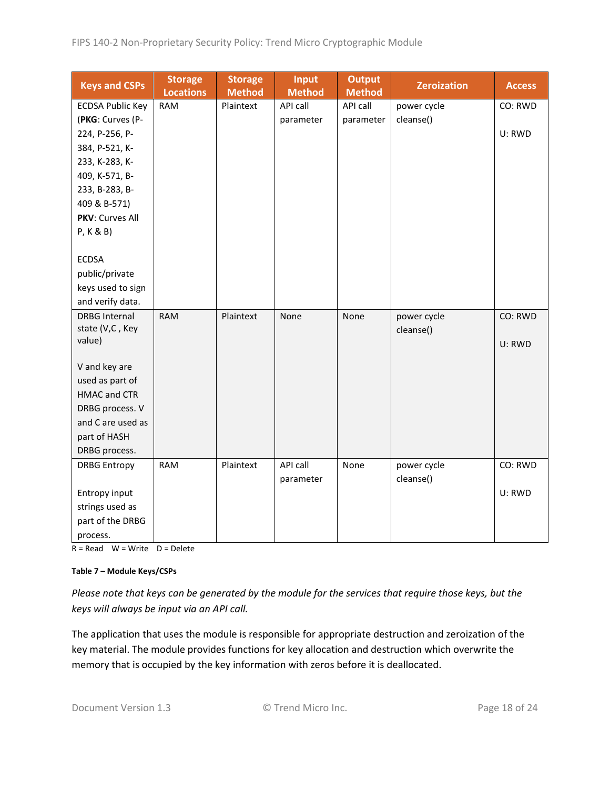| <b>Keys and CSPs</b>    | <b>Storage</b><br><b>Locations</b> | <b>Storage</b><br><b>Method</b> | <b>Input</b><br><b>Method</b> | <b>Output</b><br><b>Method</b> | <b>Zeroization</b> | <b>Access</b> |
|-------------------------|------------------------------------|---------------------------------|-------------------------------|--------------------------------|--------------------|---------------|
| <b>ECDSA Public Key</b> | <b>RAM</b>                         | Plaintext                       | API call                      | API call                       | power cycle        | CO: RWD       |
| (PKG: Curves (P-        |                                    |                                 | parameter                     | parameter                      | cleanse()          |               |
| 224, P-256, P-          |                                    |                                 |                               |                                |                    | U: RWD        |
| 384, P-521, K-          |                                    |                                 |                               |                                |                    |               |
| 233, K-283, K-          |                                    |                                 |                               |                                |                    |               |
| 409, K-571, B-          |                                    |                                 |                               |                                |                    |               |
| 233, B-283, B-          |                                    |                                 |                               |                                |                    |               |
| 409 & B-571)            |                                    |                                 |                               |                                |                    |               |
| PKV: Curves All         |                                    |                                 |                               |                                |                    |               |
| P, K & B)               |                                    |                                 |                               |                                |                    |               |
|                         |                                    |                                 |                               |                                |                    |               |
| <b>ECDSA</b>            |                                    |                                 |                               |                                |                    |               |
| public/private          |                                    |                                 |                               |                                |                    |               |
| keys used to sign       |                                    |                                 |                               |                                |                    |               |
| and verify data.        |                                    |                                 |                               |                                |                    |               |
| <b>DRBG Internal</b>    | <b>RAM</b>                         | Plaintext                       | None                          | None                           | power cycle        | CO: RWD       |
| state (V,C, Key         |                                    |                                 |                               |                                | cleanse()          |               |
| value)                  |                                    |                                 |                               |                                |                    | U: RWD        |
| V and key are           |                                    |                                 |                               |                                |                    |               |
| used as part of         |                                    |                                 |                               |                                |                    |               |
| <b>HMAC and CTR</b>     |                                    |                                 |                               |                                |                    |               |
| DRBG process. V         |                                    |                                 |                               |                                |                    |               |
| and C are used as       |                                    |                                 |                               |                                |                    |               |
| part of HASH            |                                    |                                 |                               |                                |                    |               |
| DRBG process.           |                                    |                                 |                               |                                |                    |               |
| <b>DRBG Entropy</b>     | <b>RAM</b>                         | Plaintext                       | API call                      | None                           | power cycle        | CO: RWD       |
|                         |                                    |                                 | parameter                     |                                | cleanse()          |               |
| Entropy input           |                                    |                                 |                               |                                |                    | U: RWD        |
| strings used as         |                                    |                                 |                               |                                |                    |               |
| part of the DRBG        |                                    |                                 |                               |                                |                    |               |
| process.                |                                    |                                 |                               |                                |                    |               |

 $R = Read \tW = Write \tD = Delete$ 

#### **Table 7 – Module Keys/CSPs**

*Please note that keys can be generated by the module for the services that require those keys, but the keys will always be input via an API call.*

The application that uses the module is responsible for appropriate destruction and zeroization of the key material. The module provides functions for key allocation and destruction which overwrite the memory that is occupied by the key information with zeros before it is deallocated.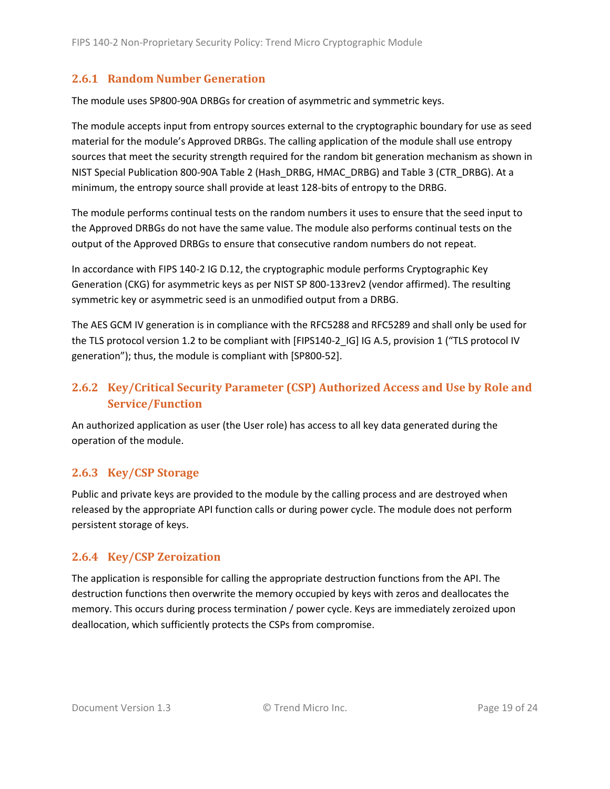#### <span id="page-18-0"></span>**2.6.1 Random Number Generation**

The module uses SP800-90A DRBGs for creation of asymmetric and symmetric keys.

The module accepts input from entropy sources external to the cryptographic boundary for use as seed material for the module's Approved DRBGs. The calling application of the module shall use entropy sources that meet the security strength required for the random bit generation mechanism as shown in NIST Special Publication 800-90A Table 2 (Hash\_DRBG, HMAC\_DRBG) and Table 3 (CTR\_DRBG). At a minimum, the entropy source shall provide at least 128-bits of entropy to the DRBG.

The module performs continual tests on the random numbers it uses to ensure that the seed input to the Approved DRBGs do not have the same value. The module also performs continual tests on the output of the Approved DRBGs to ensure that consecutive random numbers do not repeat.

In accordance with FIPS 140-2 IG D.12, the cryptographic module performs Cryptographic Key Generation (CKG) for asymmetric keys as per NIST SP 800-133rev2 (vendor affirmed). The resulting symmetric key or asymmetric seed is an unmodified output from a DRBG.

The AES GCM IV generation is in compliance with the RFC5288 and RFC5289 and shall only be used for the TLS protocol version 1.2 to be compliant with [FIPS140-2 IG] IG A.5, provision 1 ("TLS protocol IV generation"); thus, the module is compliant with [SP800-52].

# <span id="page-18-1"></span>**2.6.2 Key/Critical Security Parameter (CSP) Authorized Access and Use by Role and Service/Function**

An authorized application as user (the User role) has access to all key data generated during the operation of the module.

#### <span id="page-18-2"></span>**2.6.3 Key/CSP Storage**

Public and private keys are provided to the module by the calling process and are destroyed when released by the appropriate API function calls or during power cycle. The module does not perform persistent storage of keys.

#### <span id="page-18-3"></span>**2.6.4 Key/CSP Zeroization**

The application is responsible for calling the appropriate destruction functions from the API. The destruction functions then overwrite the memory occupied by keys with zeros and deallocates the memory. This occurs during process termination / power cycle. Keys are immediately zeroized upon deallocation, which sufficiently protects the CSPs from compromise.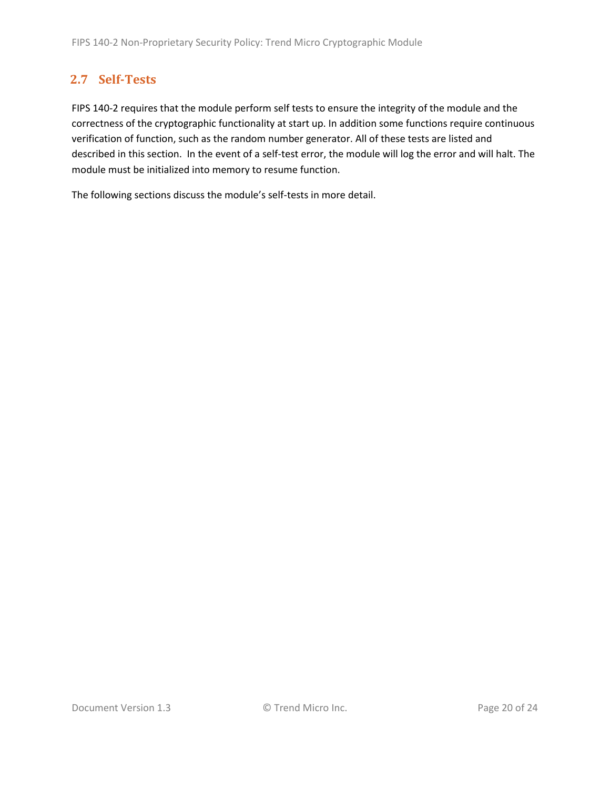# <span id="page-19-0"></span>**2.7 Self-Tests**

FIPS 140-2 requires that the module perform self tests to ensure the integrity of the module and the correctness of the cryptographic functionality at start up. In addition some functions require continuous verification of function, such as the random number generator. All of these tests are listed and described in this section. In the event of a self-test error, the module will log the error and will halt. The module must be initialized into memory to resume function.

The following sections discuss the module's self-tests in more detail.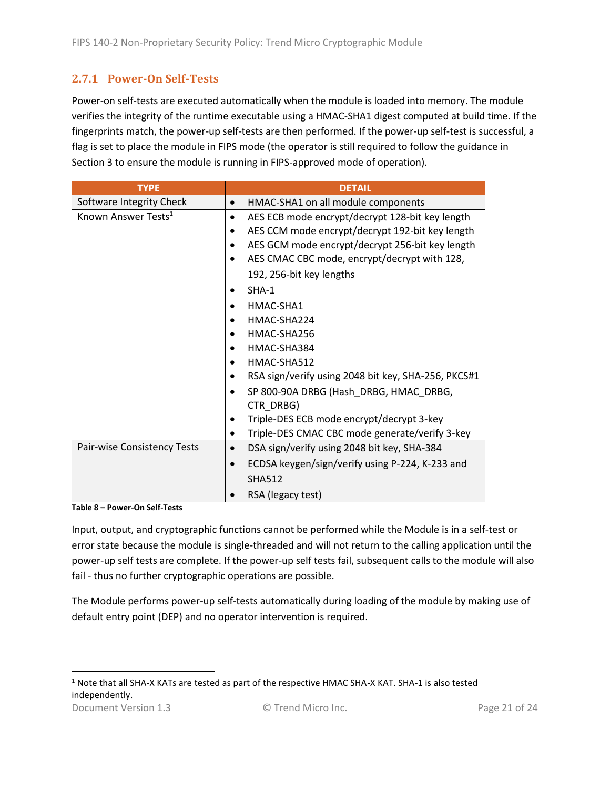#### <span id="page-20-0"></span>**2.7.1 Power-On Self-Tests**

Power-on self-tests are executed automatically when the module is loaded into memory. The module verifies the integrity of the runtime executable using a HMAC-SHA1 digest computed at build time. If the fingerprints match, the power-up self-tests are then performed. If the power-up self-test is successful, a flag is set to place the module in FIPS mode (the operator is still required to follow the guidance in Section 3 to ensure the module is running in FIPS-approved mode of operation).

| <b>TYPE</b>                     | <b>DETAIL</b>                                            |
|---------------------------------|----------------------------------------------------------|
| Software Integrity Check        | HMAC-SHA1 on all module components<br>$\bullet$          |
| Known Answer Tests <sup>1</sup> | AES ECB mode encrypt/decrypt 128-bit key length          |
|                                 | AES CCM mode encrypt/decrypt 192-bit key length          |
|                                 | AES GCM mode encrypt/decrypt 256-bit key length          |
|                                 | AES CMAC CBC mode, encrypt/decrypt with 128,             |
|                                 | 192, 256-bit key lengths                                 |
|                                 | $SHA-1$                                                  |
|                                 | HMAC-SHA1                                                |
|                                 | HMAC-SHA224                                              |
|                                 | HMAC-SHA256                                              |
|                                 | HMAC-SHA384                                              |
|                                 | HMAC-SHA512                                              |
|                                 | RSA sign/verify using 2048 bit key, SHA-256, PKCS#1      |
|                                 | SP 800-90A DRBG (Hash DRBG, HMAC DRBG,                   |
|                                 | CTR DRBG)                                                |
|                                 | Triple-DES ECB mode encrypt/decrypt 3-key                |
|                                 | Triple-DES CMAC CBC mode generate/verify 3-key           |
| Pair-wise Consistency Tests     | DSA sign/verify using 2048 bit key, SHA-384<br>$\bullet$ |
|                                 | ECDSA keygen/sign/verify using P-224, K-233 and          |
|                                 | <b>SHA512</b>                                            |
|                                 | RSA (legacy test)                                        |

**Table 8 – Power-On Self-Tests**

Input, output, and cryptographic functions cannot be performed while the Module is in a self-test or error state because the module is single-threaded and will not return to the calling application until the power-up self tests are complete. If the power-up self tests fail, subsequent calls to the module will also fail - thus no further cryptographic operations are possible.

The Module performs power-up self-tests automatically during loading of the module by making use of default entry point (DEP) and no operator intervention is required.

Document Version 1.3 C Trend Micro Inc. Contact the Page 21 of 24 <sup>1</sup> Note that all SHA-X KATs are tested as part of the respective HMAC SHA-X KAT. SHA-1 is also tested independently.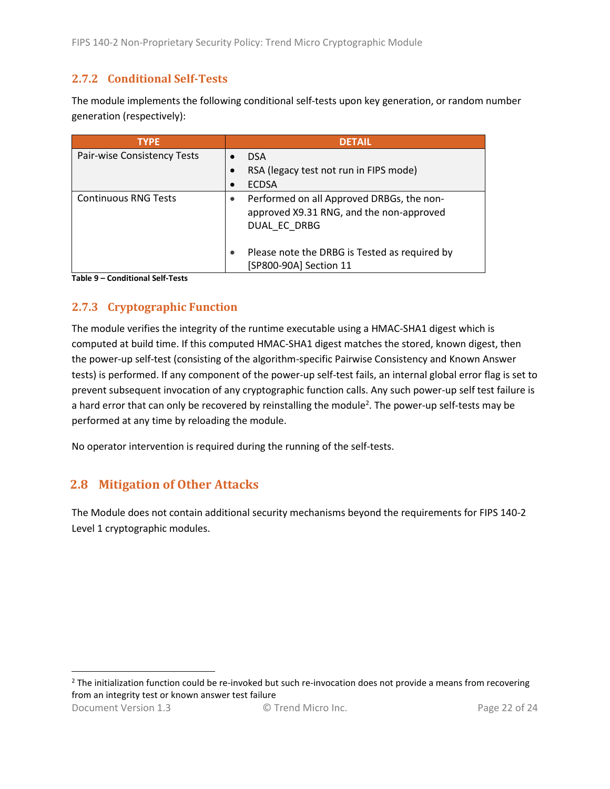#### <span id="page-21-0"></span>**2.7.2 Conditional Self-Tests**

The module implements the following conditional self-tests upon key generation, or random number generation (respectively):

| <b>TYPE</b>                 | <b>DETAIL</b>                                                                                         |
|-----------------------------|-------------------------------------------------------------------------------------------------------|
| Pair-wise Consistency Tests | <b>DSA</b>                                                                                            |
|                             | RSA (legacy test not run in FIPS mode)                                                                |
|                             | <b>ECDSA</b><br>$\bullet$                                                                             |
| <b>Continuous RNG Tests</b> | Performed on all Approved DRBGs, the non-<br>approved X9.31 RNG, and the non-approved<br>DUAL EC DRBG |
|                             | Please note the DRBG is Tested as required by<br>[SP800-90A] Section 11                               |

**Table 9 – Conditional Self-Tests**

### <span id="page-21-1"></span>**2.7.3 Cryptographic Function**

The module verifies the integrity of the runtime executable using a HMAC-SHA1 digest which is computed at build time. If this computed HMAC-SHA1 digest matches the stored, known digest, then the power-up self-test (consisting of the algorithm-specific Pairwise Consistency and Known Answer tests) is performed. If any component of the power-up self-test fails, an internal global error flag is set to prevent subsequent invocation of any cryptographic function calls. Any such power-up self test failure is a hard error that can only be recovered by reinstalling the module<sup>2</sup>. The power-up self-tests may be performed at any time by reloading the module.

No operator intervention is required during the running of the self-tests.

### <span id="page-21-2"></span>**2.8 Mitigation of Other Attacks**

The Module does not contain additional security mechanisms beyond the requirements for FIPS 140-2 Level 1 cryptographic modules.

<sup>2</sup> The initialization function could be re-invoked but such re-invocation does not provide a means from recovering from an integrity test or known answer test failure

Document Version 1.3 © Trend Micro Inc. Page 22 of 24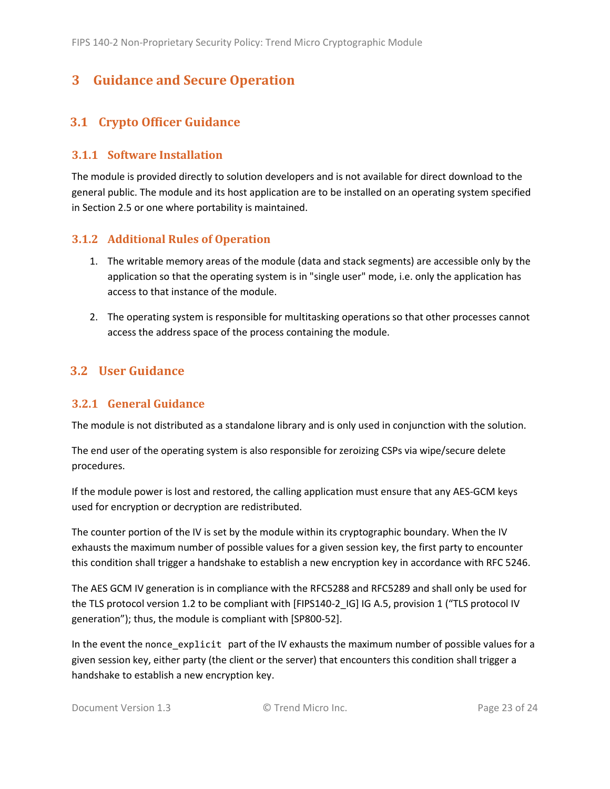# <span id="page-22-0"></span>**3 Guidance and Secure Operation**

### <span id="page-22-1"></span>**3.1 Crypto Officer Guidance**

#### <span id="page-22-2"></span>**3.1.1 Software Installation**

The module is provided directly to solution developers and is not available for direct download to the general public. The module and its host application are to be installed on an operating system specified in Section [2.5](#page-13-2) or one where portability is maintained.

#### <span id="page-22-3"></span>**3.1.2 Additional Rules of Operation**

- 1. The writable memory areas of the module (data and stack segments) are accessible only by the application so that the operating system is in "single user" mode, i.e. only the application has access to that instance of the module.
- 2. The operating system is responsible for multitasking operations so that other processes cannot access the address space of the process containing the module.

### <span id="page-22-4"></span>**3.2 User Guidance**

#### <span id="page-22-5"></span>**3.2.1 General Guidance**

The module is not distributed as a standalone library and is only used in conjunction with the solution.

The end user of the operating system is also responsible for zeroizing CSPs via wipe/secure delete procedures.

If the module power is lost and restored, the calling application must ensure that any AES-GCM keys used for encryption or decryption are redistributed.

The counter portion of the IV is set by the module within its cryptographic boundary. When the IV exhausts the maximum number of possible values for a given session key, the first party to encounter this condition shall trigger a handshake to establish a new encryption key in accordance with RFC 5246.

The AES GCM IV generation is in compliance with the RFC5288 and RFC5289 and shall only be used for the TLS protocol version 1.2 to be compliant with [FIPS140-2 IG] IG A.5, provision 1 ("TLS protocol IV generation"); thus, the module is compliant with [SP800-52].

In the event the nonce\_explicit part of the IV exhausts the maximum number of possible values for a given session key, either party (the client or the server) that encounters this condition shall trigger a handshake to establish a new encryption key.